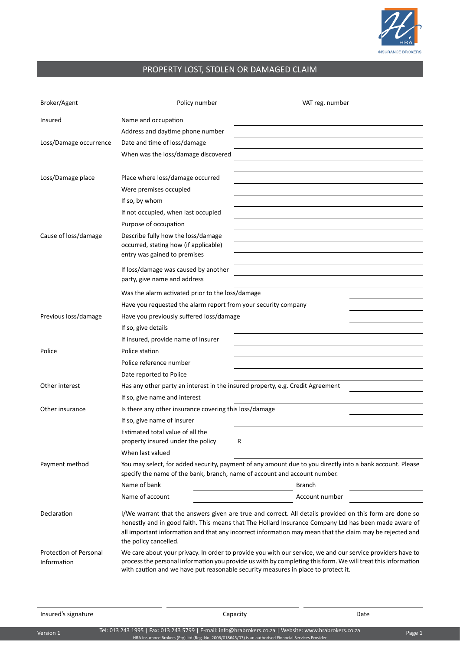

## PROPERTY LOST, STOLEN OR DAMAGED CLAIM

| Broker/Agent                          | Policy number                                                                                                                                                                          | VAT reg. number                                                                                                                                                                                                                                                                                                             |  |  |  |
|---------------------------------------|----------------------------------------------------------------------------------------------------------------------------------------------------------------------------------------|-----------------------------------------------------------------------------------------------------------------------------------------------------------------------------------------------------------------------------------------------------------------------------------------------------------------------------|--|--|--|
| Insured                               | Name and occupation                                                                                                                                                                    |                                                                                                                                                                                                                                                                                                                             |  |  |  |
|                                       | Address and daytime phone number                                                                                                                                                       |                                                                                                                                                                                                                                                                                                                             |  |  |  |
| Loss/Damage occurrence                | Date and time of loss/damage                                                                                                                                                           |                                                                                                                                                                                                                                                                                                                             |  |  |  |
|                                       | When was the loss/damage discovered                                                                                                                                                    |                                                                                                                                                                                                                                                                                                                             |  |  |  |
| Loss/Damage place                     | Place where loss/damage occurred                                                                                                                                                       |                                                                                                                                                                                                                                                                                                                             |  |  |  |
|                                       | Were premises occupied                                                                                                                                                                 |                                                                                                                                                                                                                                                                                                                             |  |  |  |
|                                       | If so, by whom                                                                                                                                                                         |                                                                                                                                                                                                                                                                                                                             |  |  |  |
|                                       | If not occupied, when last occupied                                                                                                                                                    |                                                                                                                                                                                                                                                                                                                             |  |  |  |
|                                       | Purpose of occupation                                                                                                                                                                  |                                                                                                                                                                                                                                                                                                                             |  |  |  |
| Cause of loss/damage                  | Describe fully how the loss/damage<br>occurred, stating how (if applicable)<br>entry was gained to premises                                                                            |                                                                                                                                                                                                                                                                                                                             |  |  |  |
|                                       | If loss/damage was caused by another<br>party, give name and address                                                                                                                   |                                                                                                                                                                                                                                                                                                                             |  |  |  |
|                                       | Was the alarm activated prior to the loss/damage                                                                                                                                       |                                                                                                                                                                                                                                                                                                                             |  |  |  |
|                                       | Have you requested the alarm report from your security company                                                                                                                         |                                                                                                                                                                                                                                                                                                                             |  |  |  |
| Previous loss/damage                  | Have you previously suffered loss/damage                                                                                                                                               |                                                                                                                                                                                                                                                                                                                             |  |  |  |
|                                       | If so, give details                                                                                                                                                                    |                                                                                                                                                                                                                                                                                                                             |  |  |  |
|                                       | If insured, provide name of Insurer                                                                                                                                                    |                                                                                                                                                                                                                                                                                                                             |  |  |  |
| Police                                | Police station                                                                                                                                                                         |                                                                                                                                                                                                                                                                                                                             |  |  |  |
|                                       | Police reference number                                                                                                                                                                |                                                                                                                                                                                                                                                                                                                             |  |  |  |
|                                       | Date reported to Police                                                                                                                                                                |                                                                                                                                                                                                                                                                                                                             |  |  |  |
| Other interest                        | Has any other party an interest in the insured property, e.g. Credit Agreement                                                                                                         |                                                                                                                                                                                                                                                                                                                             |  |  |  |
|                                       | If so, give name and interest                                                                                                                                                          |                                                                                                                                                                                                                                                                                                                             |  |  |  |
| Other insurance                       | Is there any other insurance covering this loss/damage                                                                                                                                 |                                                                                                                                                                                                                                                                                                                             |  |  |  |
|                                       | If so, give name of Insurer                                                                                                                                                            |                                                                                                                                                                                                                                                                                                                             |  |  |  |
|                                       | Estimated total value of all the                                                                                                                                                       |                                                                                                                                                                                                                                                                                                                             |  |  |  |
|                                       | property insured under the policy                                                                                                                                                      |                                                                                                                                                                                                                                                                                                                             |  |  |  |
|                                       | When last valued                                                                                                                                                                       |                                                                                                                                                                                                                                                                                                                             |  |  |  |
| Payment method                        | You may select, for added security, payment of any amount due to you directly into a bank account. Please<br>specify the name of the bank, branch, name of account and account number. |                                                                                                                                                                                                                                                                                                                             |  |  |  |
|                                       | Name of bank                                                                                                                                                                           | <b>Branch</b>                                                                                                                                                                                                                                                                                                               |  |  |  |
|                                       | Name of account                                                                                                                                                                        | Account number                                                                                                                                                                                                                                                                                                              |  |  |  |
| Declaration                           | the policy cancelled.                                                                                                                                                                  | I/We warrant that the answers given are true and correct. All details provided on this form are done so<br>honestly and in good faith. This means that The Hollard Insurance Company Ltd has been made aware of<br>all important information and that any incorrect information may mean that the claim may be rejected and |  |  |  |
| Protection of Personal<br>Information |                                                                                                                                                                                        | We care about your privacy. In order to provide you with our service, we and our service providers have to<br>process the personal information you provide us with by completing this form. We will treat this information<br>with caution and we have put reasonable security measures in place to protect it.             |  |  |  |

Insured's signature and the Capacity Capacity Capacity Capacity Capacity